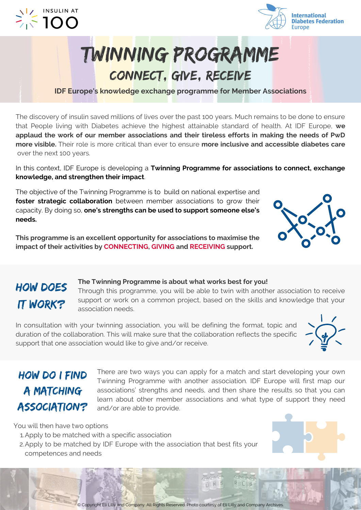



## Twinning programme connect, give, receive

**IDF Europe's knowledge exchange programme for Member Associations**

The discovery of insulin saved millions of lives over the past 100 years. Much remains to be done to ensure that People living with Diabetes achieve the highest attainable standard of health. At IDF Europe, **we applaud the work of our member associations and their tireless efforts in making the needs of PwD more visible.** Their role is more critical than ever to ensure **more inclusive and accessible diabetes care** over the next 100 years.

In this context, IDF Europe is developing a **Twinning Programme for associations to connect, exchange knowledge, and strengthen their impact**.

The objective of the Twinning Programme is to build on national expertise and **foster strategic collaboration** between member associations to grow their capacity. By doing so, **one's strengths can be used to support someone else's needs.**

**This programme is an excellent opportunity for associations to maximise the impact of their activities by CONNECTING, GIVING and RECEIVING support.**

#### **The Twinning Programme is about what works best for you!** Through this programme, you will be able to twin with another association to receive support or work on a common project, based on the skills and knowledge that your association needs.

In consultation with your twinning association, you will be defining the format, topic and duration of the collaboration. This will make sure that the collaboration reflects the specific support that one association would like to give and/or receive.

#### how do i find **A MATCHING ASSOCIATION?**

how does

**IT WORK?** 

There are two ways you can apply for a match and start developing your own Twinning Programme with another association. IDF Europe will first map our associations' strengths and needs, and then share the results so that you can learn about other member associations and what type of support they need and/or are able to provide.

You will then have two options

- Apply to be matched with a specific association 1.
- 2. Apply to be matched by IDF Europe with the association that best fits your competences and needs



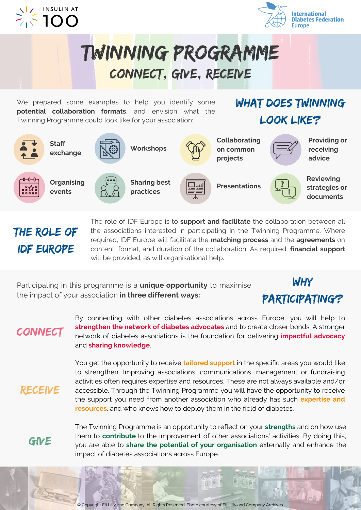



Twinning programme connect, give, receive

We prepared some examples to help you identify some **potential collaboration formats**, and envision what the Twinning Programme could look like for your association:

WHAT DOES TWINNING look like?



the role of idf europe

The role of IDF Europe is to **support and facilitate** the collaboration between all the associations interested in participating in the Twinning Programme. Where required, IDF Europe will facilitate the **matching process** and the **agreements** on content, format, and duration of the collaboration. As required, **financial support** will be provided, as will organisational help.

Participating in this programme is a **unique opportunity** to maximise the impact of your association **in three different ways:**

### why participating?

**CONNECT** 

By connecting with other diabetes associations across Europe, you will help to **strengthen the network of diabetes advocates** and to create closer bonds. A stronger network of diabetes associations is the foundation for delivering **impactful advocacy** and **sharing knowledge**.

You get the opportunity to receive **tailored support** in the specific areas you would like to strengthen. Improving associations' communications, management or fundraising activities often requires expertise and resources. These are not always available and/or accessible. Through the Twinning Programme you will have the opportunity to receive the support you need from another association who already has such **expertise and resources**, and who knows how to deploy them in the field of diabetes.

GIVE

**RECEIVE** 

The Twinning Programme is an opportunity to reflect on your **strengths** and on how use them to **contribute** to the improvement of other associations' activities. By doing this, you are able to **share the potential of your organisation** externally and enhance the impact of diabetes associations across Europe.

U.N.